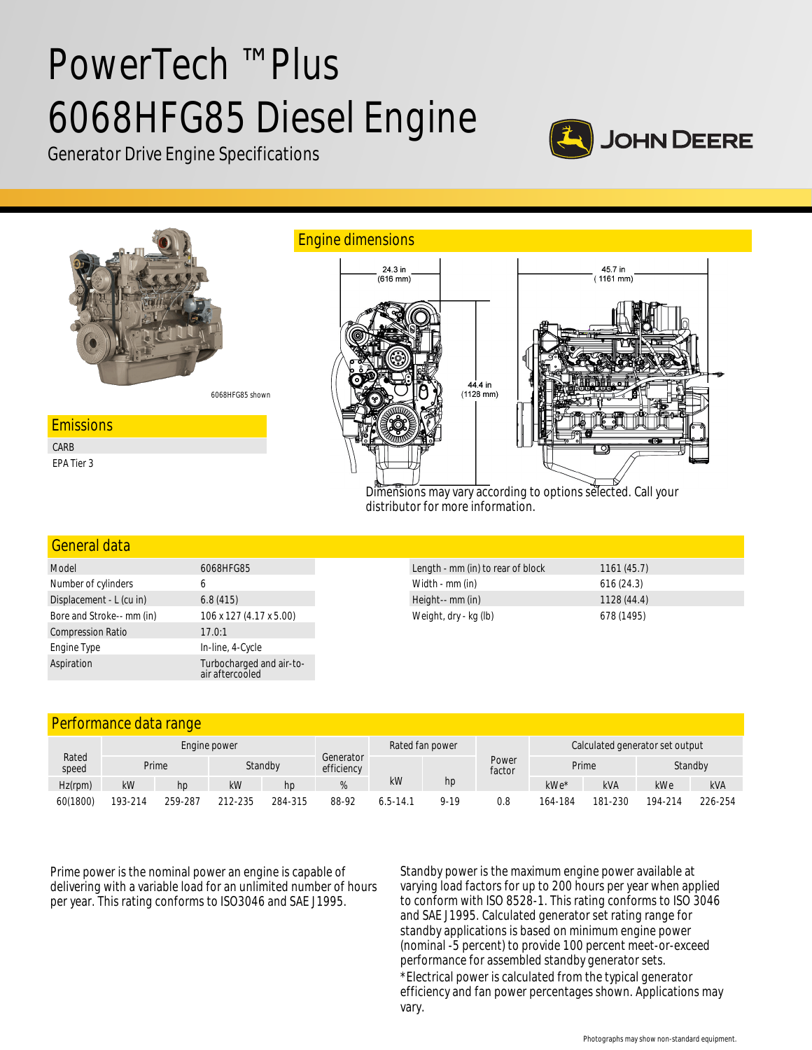# PowerTech ™ Plus 6068HFG85 Diesel Engine







Dimensions may vary according to options selected. Call your distributor for more information.

### General data

| Model                     | 6068HFG85                                   |  |  |  |  |
|---------------------------|---------------------------------------------|--|--|--|--|
| Number of cylinders       | 6                                           |  |  |  |  |
| Displacement - L (cu in)  | 6.8(415)                                    |  |  |  |  |
| Bore and Stroke-- mm (in) | 106 x 127 (4.17 x 5.00)                     |  |  |  |  |
| <b>Compression Ratio</b>  | 17.0:1                                      |  |  |  |  |
| Engine Type               | In-line, 4-Cycle                            |  |  |  |  |
| Aspiration                | Turbocharged and air-to-<br>air aftercooled |  |  |  |  |

| Length - mm (in) to rear of block | 1161(45.7) |
|-----------------------------------|------------|
| Width - mm (in)                   | 616(24.3)  |
| Height-- mm (in)                  | 1128(44.4) |
| Weight, dry - kg (lb)             | 678 (1495) |

# Performance data range

| Rated<br>speed | Engine power     |         |                         |         |       | Rated fan power |          | Calculated generator set output |         |            |         |            |
|----------------|------------------|---------|-------------------------|---------|-------|-----------------|----------|---------------------------------|---------|------------|---------|------------|
|                | Standby<br>Prime |         | Generator<br>efficiency |         |       | Power<br>factor | Prime    |                                 | Standby |            |         |            |
| Hz(rpm)        | kW               | hp      | kW                      | hp      |       | kW              | hp       |                                 | kWe*    | <b>kVA</b> | kWe     | <b>kVA</b> |
| 60(1800)       | 193-214          | 259-287 | 212-235                 | 284-315 | 88-92 | $6.5 - 14.7$    | $9 - 19$ | 0.8                             | 164-184 | 181-230    | 194-214 | 226-254    |

Prime power is the nominal power an engine is capable of delivering with a variable load for an unlimited number of hours per year. This rating conforms to ISO3046 and SAE J1995.

Standby power is the maximum engine power available at varying load factors for up to 200 hours per year when applied to conform with ISO 8528-1. This rating conforms to ISO 3046 and SAE J1995. Calculated generator set rating range for standby applications is based on minimum engine power (nominal -5 percent) to provide 100 percent meet-or-exceed performance for assembled standby generator sets.

\*Electrical power is calculated from the typical generator efficiency and fan power percentages shown. Applications may vary.